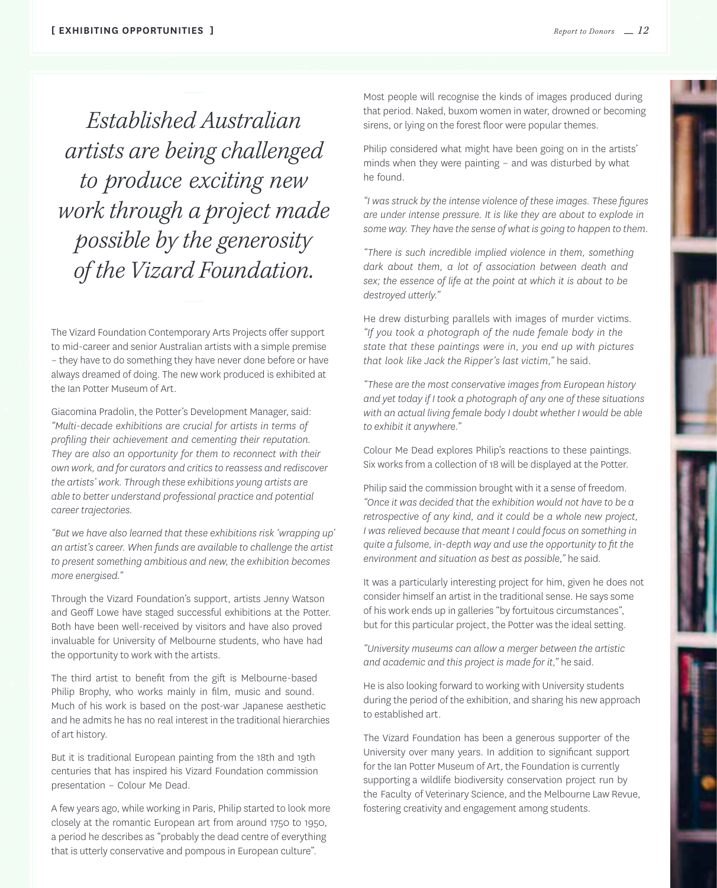*Established Australian artists are being challenged to produce exciting new work through a project made possible by the generosity of the Vizard Foundation.*

The Vizard Foundation Contemporary Arts Projects offer support to mid-career and senior Australian artists with a simple premise – they have to do something they have never done before or have always dreamed of doing. The new work produced is exhibited at the Ian Potter Museum of Art.

Giacomina Pradolin, the Potter's Development Manager, said: *"Multi-decade exhibitions are crucial for artists in terms of profiling their achievement and cementing their reputation. They are also an opportunity for them to reconnect with their own work, and for curators and critics to reassess and rediscover the artists' work. Through these exhibitions young artists are able to better understand professional practice and potential career trajectories.*

*"But we have also learned that these exhibitions risk 'wrapping up' an artist's career. When funds are available to challenge the artist to present something ambitious and new, the exhibition becomes more energised."*

Through the Vizard Foundation's support, artists Jenny Watson and Geoff Lowe have staged successful exhibitions at the Potter. Both have been well-received by visitors and have also proved invaluable for University of Melbourne students, who have had the opportunity to work with the artists.

The third artist to benefit from the gift is Melbourne-based Philip Brophy, who works mainly in film, music and sound. Much of his work is based on the post-war Japanese aesthetic and he admits he has no real interest in the traditional hierarchies of art history.

But it is traditional European painting from the 18th and 19th centuries that has inspired his Vizard Foundation commission presentation – Colour Me Dead.

A few years ago, while working in Paris, Philip started to look more closely at the romantic European art from around 1750 to 1950, a period he describes as "probably the dead centre of everything that is utterly conservative and pompous in European culture".

Most people will recognise the kinds of images produced during that period. Naked, buxom women in water, drowned or becoming sirens, or lying on the forest floor were popular themes.

Philip considered what might have been going on in the artists' minds when they were painting – and was disturbed by what he found.

*"I was struck by the intense violence of these images. These figures are under intense pressure. It is like they are about to explode in some way. They have the sense of what is going to happen to them.*

*"There is such incredible implied violence in them, something dark about them, a lot of association between death and sex; the essence of life at the point at which it is about to be destroyed utterly."*

He drew disturbing parallels with images of murder victims. *"If you took a photograph of the nude female body in the state that these paintings were in, you end up with pictures that look like Jack the Ripper's last victim,"* he said.

*"These are the most conservative images from European history and yet today if I took a photograph of any one of these situations with an actual living female body I doubt whether I would be able to exhibit it anywhere."*

Colour Me Dead explores Philip's reactions to these paintings. Six works from a collection of 18 will be displayed at the Potter.

Philip said the commission brought with it a sense of freedom. *"Once it was decided that the exhibition would not have to be a retrospective of any kind, and it could be a whole new project, I* was relieved because that meant I could focus on something in *quite a fulsome, in-depth way and use the opportunity to fit the environment and situation as best as possible,"* he said.

It was a particularly interesting project for him, given he does not consider himself an artist in the traditional sense. He says some of his work ends up in galleries "by fortuitous circumstances", but for this particular project, the Potter was the ideal setting.

*"University museums can allow a merger between the artistic and academic and this project is made for it,"* he said.

He is also looking forward to working with University students during the period of the exhibition, and sharing his new approach to established art.

The Vizard Foundation has been a generous supporter of the University over many years. In addition to significant support for the Ian Potter Museum of Art, the Foundation is currently supporting a wildlife biodiversity conservation project run by the Faculty of Veterinary Science, and the Melbourne Law Revue, fostering creativity and engagement among students.